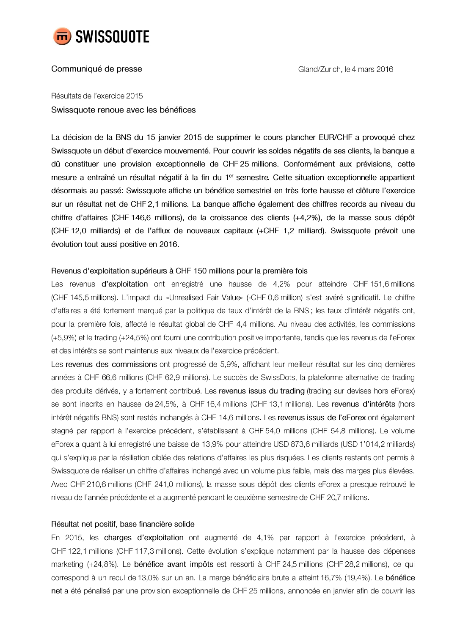

# Communiqué de presse

Résultats de l'exercice 2015 Swissquote renoue avec les bénéfices

La décision de la BNS du 15 janvier 2015 de supprimer le cours plancher EUR/CHF a provoqué chez Swissquote un début d'exercice mouvementé. Pour couvrir les soldes négatifs de ses clients, la banque a dû constituer une provision exceptionnelle de CHF 25 millions. Conformément aux prévisions, cette mesure a entraîné un résultat négatif à la fin du 1<sup>er</sup> semestre. Cette situation exceptionnelle appartient désormais au passé: Swissquote affiche un bénéfice semestriel en très forte hausse et clôture l'exercice sur un résultat net de CHF 2,1 millions. La banque affiche également des chiffres records au niveau du chiffre d'affaires (CHF 146,6 millions), de la croissance des clients (+4,2%), de la masse sous dépôt (CHF 12,0 milliards) et de l'afflux de nouveaux capitaux (+CHF 1,2 milliard). Swissquote prévoit une évolution tout aussi positive en 2016.

## Revenus d'exploitation supérieurs à CHF 150 millions pour la première fois

Les revenus d'exploitation ont enregistré une hausse de 4,2% pour atteindre CHF 151,6 millions (CHF 145,5 millions). L'impact du «Unrealised Fair Value» (-CHF 0,6 million) s'est avéré significatif. Le chiffre d'affaires a été fortement marqué par la politique de taux d'intérêt de la BNS; les taux d'intérêt négatifs ont, pour la première fois, affecté le résultat global de CHF 4,4 millions. Au niveau des activités, les commissions (+5,9%) et le trading (+24,5%) ont fourni une contribution positive importante, tandis que les revenus de l'eForex et des intérêts se sont maintenus aux niveaux de l'exercice précédent.

Les revenus des commissions ont progressé de 5,9%, affichant leur meilleur résultat sur les cinq dernières années à CHF 66,6 millions (CHF 62,9 millions). Le succès de SwissDots, la plateforme alternative de trading des produits dérivés, y a fortement contribué. Les revenus issus du trading (trading sur devises hors eForex) se sont inscrits en hausse de 24,5%, à CHF 16,4 millions (CHF 13,1 millions). Les revenus d'intérêts (hors intérêt négatifs BNS) sont restés inchangés à CHF 14,6 millions. Les revenus issus de l'eForex ont également stagné par rapport à l'exercice précédent, s'établissant à CHF 54,0 millions (CHF 54,8 millions). Le volume eForex a quant à lui enregistré une baisse de 13,9% pour atteindre USD 873,6 milliards (USD 1'014,2 milliards) qui s'explique par la résiliation ciblée des relations d'affaires les plus risquées. Les clients restants ont permis à Swissquote de réaliser un chiffre d'affaires inchangé avec un volume plus faible, mais des marges plus élevées. Avec CHF 210,6 millions (CHF 241,0 millions), la masse sous dépôt des clients eForex a presque retrouvé le niveau de l'année précédente et a augmenté pendant le deuxième semestre de CHF 20,7 millions.

## Résultat net positif, base financière solide

En 2015, les charges d'exploitation ont augmenté de 4,1% par rapport à l'exercice précédent, à CHF 122,1 millions (CHF 117,3 millions). Cette évolution s'explique notamment par la hausse des dépenses marketing (+24,8%). Le bénéfice avant impôts est ressorti à CHF 24,5 millions (CHF 28,2 millions), ce qui correspond à un recul de 13,0% sur un an. La marge bénéficiaire brute a atteint 16,7% (19,4%). Le bénéfice net a été pénalisé par une provision exceptionnelle de CHF 25 millions, annoncée en janvier afin de couvrir les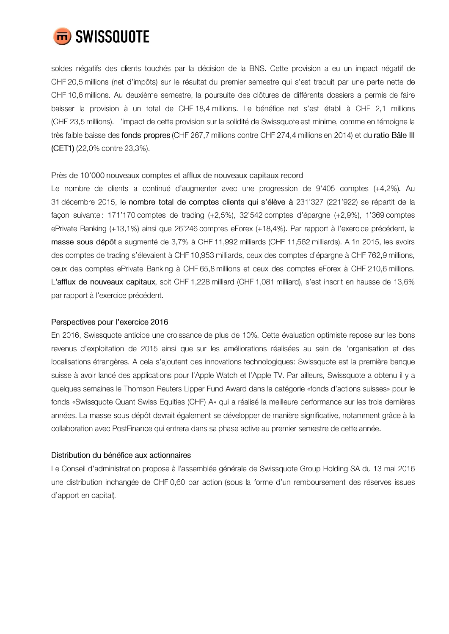

soldes négatifs des clients touchés par la décision de la BNS. Cette provision a eu un impact négatif de CHF 20,5 millions (net d'impôts) sur le résultat du premier semestre qui s'est traduit par une perte nette de CHF 10,6 millions. Au deuxième semestre, la poursuite des clôtures de différents dossiers a permis de faire baisser la provision à un total de CHF 18,4 millions. Le bénéfice net s'est établi à CHF 2,1 millions (CHF 23,5 millions). L'impact de cette provision sur la solidité de Swissquote est minime, comme en témoigne la très faible baisse des fonds propres (CHF 267,7 millions contre CHF 274,4 millions en 2014) et du ratio Bâle III (CET1) (22,0% contre 23,3%).

## Près de 10'000 nouveaux comptes et afflux de nouveaux capitaux record

Le nombre de clients a continué d'augmenter avec une progression de 9'405 comptes (+4,2%). Au 31 décembre 2015, le nombre total de comptes clients qui s'élève à 231'327 (221'922) se répartit de la façon suivante: 171'170 comptes de trading (+2,5%), 32'542 comptes d'épargne (+2,9%), 1'369 comptes ePrivate Banking (+13,1%) ainsi que 26'246 comptes eForex (+18,4%). Par rapport à l'exercice précédent, la masse sous dépôt a augmenté de 3,7% à CHF 11,992 milliards (CHF 11,562 milliards). A fin 2015, les avoirs des comptes de trading s'élevaient à CHF 10,953 milliards, ceux des comptes d'épargne à CHF 762,9 millions, ceux des comptes ePrivate Banking à CHF 65,8 millions et ceux des comptes eForex à CHF 210,6 millions. L'afflux de nouveaux capitaux, soit CHF 1,228 milliard (CHF 1,081 milliard), s'est inscrit en hausse de 13,6% par rapport à l'exercice précédent.

## Perspectives pour l'exercice 2016

En 2016, Swissquote anticipe une croissance de plus de 10%. Cette évaluation optimiste repose sur les bons revenus d'exploitation de 2015 ainsi que sur les améliorations réalisées au sein de l'organisation et des localisations étrangères. A cela s'ajoutent des innovations technologiques: Swissquote est la première banque suisse à avoir lancé des applications pour l'Apple Watch et l'Apple TV. Par ailleurs, Swissquote a obtenu il y a quelques semaines le Thomson Reuters Lipper Fund Award dans la catégorie «fonds d'actions suisses» pour le fonds «Swissquote Quant Swiss Equities (CHF) A» qui a réalisé la meilleure performance sur les trois dernières années. La masse sous dépôt devrait également se développer de manière significative, notamment grâce à la collaboration avec PostFinance qui entrera dans sa phase active au premier semestre de cette année.

## Distribution du bénéfice aux actionnaires

Le Conseil d'administration propose à l'assemblée générale de Swissquote Group Holding SA du 13 mai 2016 une distribution inchangée de CHF 0,60 par action (sous la forme d'un remboursement des réserves issues d'apport en capital).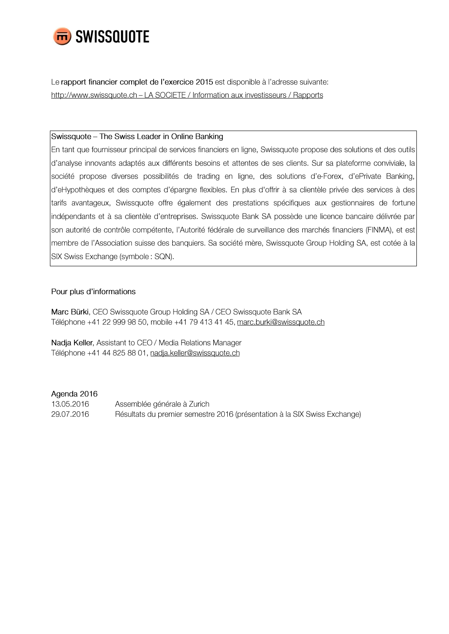

Le rapport financier complet de l'exercice 2015 est disponible à l'adresse suivante: http://www.swissquote.ch - LA SOCIETE / Information aux investisseurs / Rapports

### Swissquote – The Swiss Leader in Online Banking

En tant que fournisseur principal de services financiers en ligne, Swissquote propose des solutions et des outils d'analyse innovants adaptés aux différents besoins et attentes de ses clients. Sur sa plateforme conviviale, la société propose diverses possibilités de trading en ligne, des solutions d'e-Forex, d'ePrivate Banking, d'eHypothèques et des comptes d'épargne flexibles. En plus d'offrir à sa clientèle privée des services à des tarifs avantageux, Swissquote offre également des prestations spécifiques aux gestionnaires de fortune indépendants et à sa clientèle d'entreprises. Swissquote Bank SA possède une licence bancaire délivrée par son autorité de contrôle compétente, l'Autorité fédérale de surveillance des marchés financiers (FINMA), et est membre de l'Association suisse des banquiers. Sa société mère, Swissquote Group Holding SA, est cotée à la SIX Swiss Exchange (symbole: SQN).

## Pour plus d'informations

Marc Bürki, CEO Swissquote Group Holding SA / CEO Swissquote Bank SA Téléphone +41 22 999 98 50, mobile +41 79 413 41 45, marc.burki@swissquote.ch

Nadja Keller, Assistant to CEO / Media Relations Manager Téléphone +41 44 825 88 01, nadja.keller@swissquote.ch

## Agenda 2016

13.05.2016 Assemblée générale à Zurich 29.07.2016 Résultats du premier semestre 2016 (présentation à la SIX Swiss Exchange)